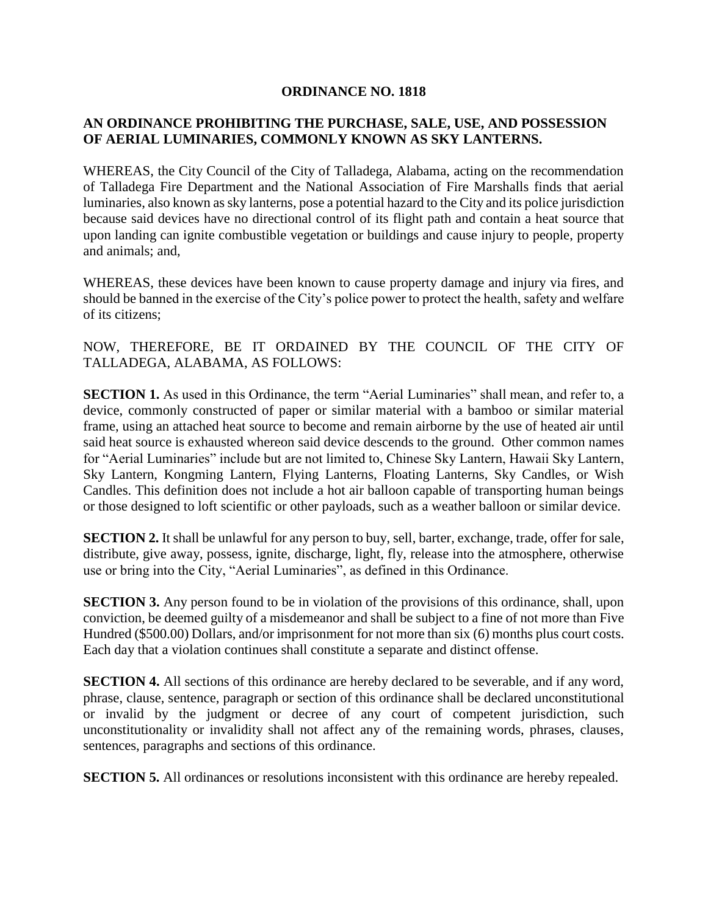## **ORDINANCE NO. 1818**

## **AN ORDINANCE PROHIBITING THE PURCHASE, SALE, USE, AND POSSESSION OF AERIAL LUMINARIES, COMMONLY KNOWN AS SKY LANTERNS.**

WHEREAS, the City Council of the City of Talladega, Alabama, acting on the recommendation of Talladega Fire Department and the National Association of Fire Marshalls finds that aerial luminaries, also known as sky lanterns, pose a potential hazard to the City and its police jurisdiction because said devices have no directional control of its flight path and contain a heat source that upon landing can ignite combustible vegetation or buildings and cause injury to people, property and animals; and,

WHEREAS, these devices have been known to cause property damage and injury via fires, and should be banned in the exercise of the City's police power to protect the health, safety and welfare of its citizens;

NOW, THEREFORE, BE IT ORDAINED BY THE COUNCIL OF THE CITY OF TALLADEGA, ALABAMA, AS FOLLOWS:

**SECTION 1.** As used in this Ordinance, the term "Aerial Luminaries" shall mean, and refer to, a device, commonly constructed of paper or similar material with a bamboo or similar material frame, using an attached heat source to become and remain airborne by the use of heated air until said heat source is exhausted whereon said device descends to the ground. Other common names for "Aerial Luminaries" include but are not limited to, Chinese Sky Lantern, Hawaii Sky Lantern, Sky Lantern, Kongming Lantern, Flying Lanterns, Floating Lanterns, Sky Candles, or Wish Candles. This definition does not include a hot air balloon capable of transporting human beings or those designed to loft scientific or other payloads, such as a weather balloon or similar device.

**SECTION 2.** It shall be unlawful for any person to buy, sell, barter, exchange, trade, offer for sale, distribute, give away, possess, ignite, discharge, light, fly, release into the atmosphere, otherwise use or bring into the City, "Aerial Luminaries", as defined in this Ordinance.

**SECTION 3.** Any person found to be in violation of the provisions of this ordinance, shall, upon conviction, be deemed guilty of a misdemeanor and shall be subject to a fine of not more than Five Hundred (\$500.00) Dollars, and/or imprisonment for not more than six (6) months plus court costs. Each day that a violation continues shall constitute a separate and distinct offense.

**SECTION 4.** All sections of this ordinance are hereby declared to be severable, and if any word, phrase, clause, sentence, paragraph or section of this ordinance shall be declared unconstitutional or invalid by the judgment or decree of any court of competent jurisdiction, such unconstitutionality or invalidity shall not affect any of the remaining words, phrases, clauses, sentences, paragraphs and sections of this ordinance.

**SECTION 5.** All ordinances or resolutions inconsistent with this ordinance are hereby repealed.